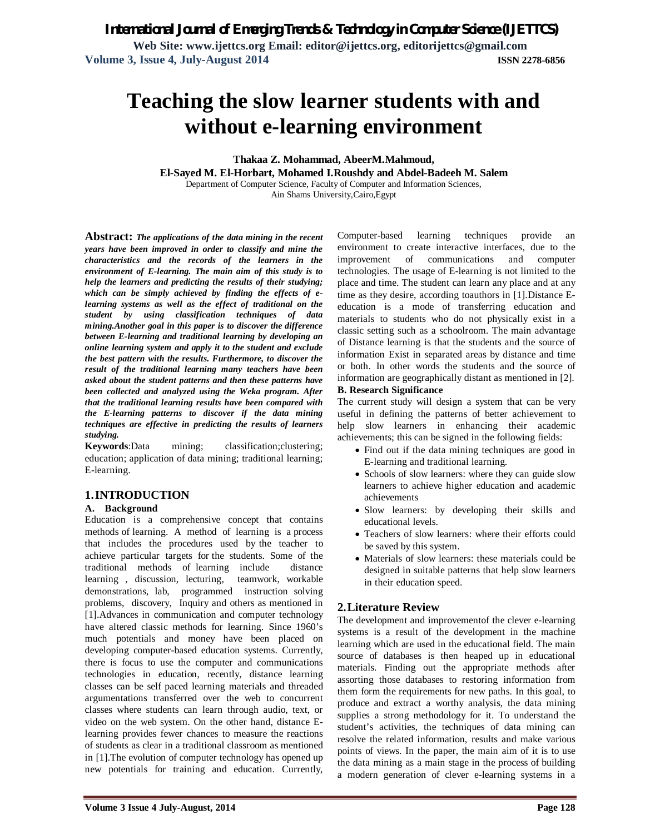**Web Site: www.ijettcs.org Email: editor@ijettcs.org, editorijettcs@gmail.com Volume 3, Issue 4, July-August 2014 ISSN 2278-6856**

# **Teaching the slow learner students with and without e-learning environment**

**Thakaa Z. Mohammad, AbeerM.Mahmoud,** 

**El-Sayed M. El-Horbart, Mohamed I.Roushdy and Abdel-Badeeh M. Salem**

Department of Computer Science, Faculty of Computer and Information Sciences,

Ain Shams University,Cairo,Egypt

**Abstract:** *The applications of the data mining in the recent years have been improved in order to classify and mine the characteristics and the records of the learners in the environment of E-learning. The main aim of this study is to help the learners and predicting the results of their studying; which can be simply achieved by finding the effects of elearning systems as well as the effect of traditional on the student by using classification techniques of data mining.Another goal in this paper is to discover the difference between E-learning and traditional learning by developing an online learning system and apply it to the student and exclude the best pattern with the results. Furthermore, to discover the result of the traditional learning many teachers have been asked about the student patterns and then these patterns have been collected and analyzed using the Weka program. After that the traditional learning results have been compared with the E-learning patterns to discover if the data mining techniques are effective in predicting the results of learners studying.*

**Keywords**:Data mining; classification;clustering; education; application of data mining; traditional learning; E-learning.

# **1.INTRODUCTION**

# **A. Background**

Education is a comprehensive concept that contains methods of learning. A method of learning is a process that includes the procedures used by the teacher to achieve particular targets for the students. Some of the traditional methods of learning include distance learning , discussion, lecturing, teamwork, workable demonstrations, lab, programmed instruction solving problems, discovery, Inquiry and others as mentioned in [1].Advances in communication and computer technology have altered classic methods for learning. Since 1960's much potentials and money have been placed on developing computer-based education systems. Currently, there is focus to use the computer and communications technologies in education, recently, distance learning classes can be self paced learning materials and threaded argumentations transferred over the web to concurrent classes where students can learn through audio, text, or video on the web system. On the other hand, distance Elearning provides fewer chances to measure the reactions of students as clear in a traditional classroom as mentioned in [1].The evolution of computer technology has opened up new potentials for training and education. Currently,

Computer-based learning techniques provide an environment to create interactive interfaces, due to the improvement of communications and computer technologies. The usage of E-learning is not limited to the place and time. The student can learn any place and at any time as they desire, according toauthors in [1].Distance Eeducation is a mode of transferring education and materials to students who do not physically exist in a classic setting such as a schoolroom. The main advantage of Distance learning is that the students and the source of information Exist in separated areas by distance and time or both. In other words the students and the source of information are geographically distant as mentioned in [2].

#### **B. Research Significance**

The current study will design a system that can be very useful in defining the patterns of better achievement to help slow learners in enhancing their academic achievements; this can be signed in the following fields:

- Find out if the data mining techniques are good in E-learning and traditional learning.
- Schools of slow learners: where they can guide slow learners to achieve higher education and academic achievements
- Slow learners: by developing their skills and educational levels.
- Teachers of slow learners: where their efforts could be saved by this system.
- Materials of slow learners: these materials could be designed in suitable patterns that help slow learners in their education speed.

# **2.Literature Review**

The development and improvementof the clever e-learning systems is a result of the development in the machine learning which are used in the educational field. The main source of databases is then heaped up in educational materials. Finding out the appropriate methods after assorting those databases to restoring information from them form the requirements for new paths. In this goal, to produce and extract a worthy analysis, the data mining supplies a strong methodology for it. To understand the student's activities, the techniques of data mining can resolve the related information, results and make various points of views. In the paper, the main aim of it is to use the data mining as a main stage in the process of building a modern generation of clever e-learning systems in a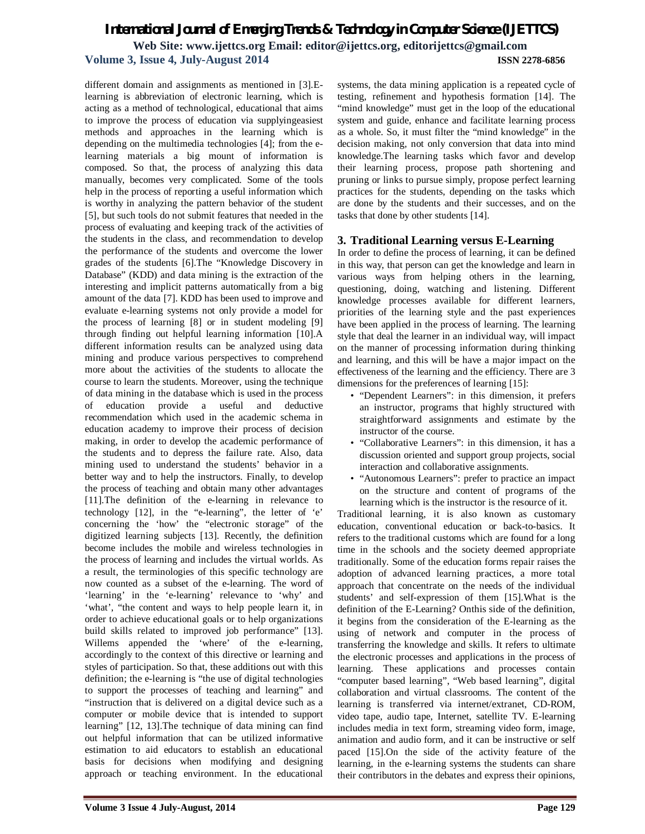# *International Journal of Emerging Trends & Technology in Computer Science (IJETTCS)* **Web Site: www.ijettcs.org Email: editor@ijettcs.org, editorijettcs@gmail.com Volume 3, Issue 4, July-August 2014 ISSN 2278-6856**

different domain and assignments as mentioned in [3].Elearning is abbreviation of electronic learning, which is acting as a method of technological, educational that aims to improve the process of education via supplyingeasiest methods and approaches in the learning which is depending on the multimedia technologies [4]; from the elearning materials a big mount of information is composed. So that, the process of analyzing this data manually, becomes very complicated. Some of the tools help in the process of reporting a useful information which is worthy in analyzing the pattern behavior of the student [5], but such tools do not submit features that needed in the process of evaluating and keeping track of the activities of the students in the class, and recommendation to develop the performance of the students and overcome the lower grades of the students [6].The "Knowledge Discovery in Database" (KDD) and data mining is the extraction of the interesting and implicit patterns automatically from a big amount of the data [7]. KDD has been used to improve and evaluate e-learning systems not only provide a model for the process of learning [8] or in student modeling [9] through finding out helpful learning information [10].A different information results can be analyzed using data mining and produce various perspectives to comprehend more about the activities of the students to allocate the course to learn the students. Moreover, using the technique of data mining in the database which is used in the process of education provide a useful and deductive recommendation which used in the academic schema in education academy to improve their process of decision making, in order to develop the academic performance of the students and to depress the failure rate. Also, data mining used to understand the students' behavior in a better way and to help the instructors. Finally, to develop the process of teaching and obtain many other advantages [11].The definition of the e-learning in relevance to technology [12], in the "e-learning", the letter of 'e' concerning the 'how' the "electronic storage" of the digitized learning subjects [13]. Recently, the definition become includes the mobile and wireless technologies in the process of learning and includes the virtual worlds. As a result, the terminologies of this specific technology are now counted as a subset of the e-learning. The word of 'learning' in the 'e-learning' relevance to 'why' and 'what', "the content and ways to help people learn it, in order to achieve educational goals or to help organizations build skills related to improved job performance" [13]. Willems appended the 'where' of the e-learning, accordingly to the context of this directive or learning and styles of participation. So that, these additions out with this definition; the e-learning is "the use of digital technologies to support the processes of teaching and learning" and "instruction that is delivered on a digital device such as a computer or mobile device that is intended to support learning" [12, 13].The technique of data mining can find out helpful information that can be utilized informative estimation to aid educators to establish an educational basis for decisions when modifying and designing approach or teaching environment. In the educational

systems, the data mining application is a repeated cycle of testing, refinement and hypothesis formation [14]. The "mind knowledge" must get in the loop of the educational system and guide, enhance and facilitate learning process as a whole. So, it must filter the "mind knowledge" in the decision making, not only conversion that data into mind knowledge.The learning tasks which favor and develop their learning process, propose path shortening and pruning or links to pursue simply, propose perfect learning practices for the students, depending on the tasks which are done by the students and their successes, and on the tasks that done by other students [14].

# **3. Traditional Learning versus E-Learning**

In order to define the process of learning, it can be defined in this way, that person can get the knowledge and learn in various ways from helping others in the learning, questioning, doing, watching and listening. Different knowledge processes available for different learners, priorities of the learning style and the past experiences have been applied in the process of learning. The learning style that deal the learner in an individual way, will impact on the manner of processing information during thinking and learning, and this will be have a major impact on the effectiveness of the learning and the efficiency. There are 3 dimensions for the preferences of learning [15]:

- "Dependent Learners": in this dimension, it prefers an instructor, programs that highly structured with straightforward assignments and estimate by the instructor of the course.
- "Collaborative Learners": in this dimension, it has a discussion oriented and support group projects, social interaction and collaborative assignments.
- "Autonomous Learners": prefer to practice an impact on the structure and content of programs of the learning which is the instructor is the resource of it.

Traditional learning, it is also known as customary education, conventional education or back-to-basics. It refers to the traditional customs which are found for a long time in the schools and the society deemed appropriate traditionally. Some of the education forms repair raises the adoption of advanced learning practices, a more total approach that concentrate on the needs of the individual students' and self-expression of them [15].What is the definition of the E-Learning? Onthis side of the definition, it begins from the consideration of the E-learning as the using of network and computer in the process of transferring the knowledge and skills. It refers to ultimate the electronic processes and applications in the process of learning. These applications and processes contain "computer based learning", "Web based learning", digital collaboration and virtual classrooms. The content of the learning is transferred via internet/extranet, CD-ROM, video tape, audio tape, Internet, satellite TV. E-learning includes media in text form, streaming video form, image, animation and audio form, and it can be instructive or self paced [15].On the side of the activity feature of the learning, in the e-learning systems the students can share their contributors in the debates and express their opinions,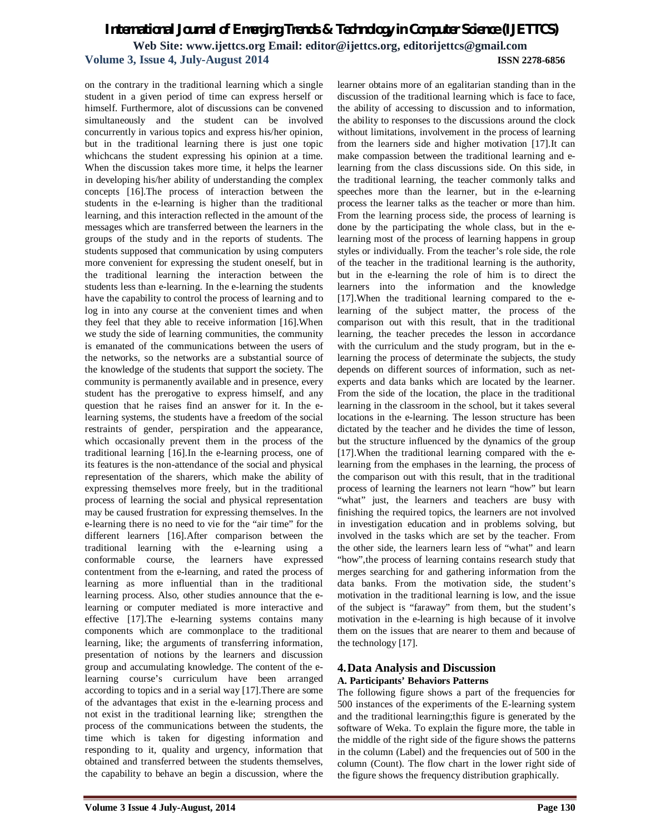# *International Journal of Emerging Trends & Technology in Computer Science (IJETTCS)* **Web Site: www.ijettcs.org Email: editor@ijettcs.org, editorijettcs@gmail.com Volume 3, Issue 4, July-August 2014 ISSN 2278-6856**

on the contrary in the traditional learning which a single student in a given period of time can express herself or himself. Furthermore, alot of discussions can be convened simultaneously and the student can be involved concurrently in various topics and express his/her opinion, but in the traditional learning there is just one topic whichcans the student expressing his opinion at a time. When the discussion takes more time, it helps the learner in developing his/her ability of understanding the complex concepts [16].The process of interaction between the students in the e-learning is higher than the traditional learning, and this interaction reflected in the amount of the messages which are transferred between the learners in the groups of the study and in the reports of students. The students supposed that communication by using computers more convenient for expressing the student oneself, but in the traditional learning the interaction between the students less than e-learning. In the e-learning the students have the capability to control the process of learning and to log in into any course at the convenient times and when they feel that they able to receive information [16].When we study the side of learning communities, the community is emanated of the communications between the users of the networks, so the networks are a substantial source of the knowledge of the students that support the society. The community is permanently available and in presence, every student has the prerogative to express himself, and any question that he raises find an answer for it. In the elearning systems, the students have a freedom of the social restraints of gender, perspiration and the appearance, which occasionally prevent them in the process of the traditional learning [16].In the e-learning process, one of its features is the non-attendance of the social and physical representation of the sharers, which make the ability of expressing themselves more freely, but in the traditional process of learning the social and physical representation may be caused frustration for expressing themselves. In the e-learning there is no need to vie for the "air time" for the different learners [16].After comparison between the traditional learning with the e-learning using a conformable course, the learners have expressed contentment from the e-learning, and rated the process of learning as more influential than in the traditional learning process. Also, other studies announce that the elearning or computer mediated is more interactive and effective [17].The e-learning systems contains many components which are commonplace to the traditional learning, like; the arguments of transferring information, presentation of notions by the learners and discussion group and accumulating knowledge. The content of the elearning course's curriculum have been arranged according to topics and in a serial way [17].There are some of the advantages that exist in the e-learning process and not exist in the traditional learning like; strengthen the process of the communications between the students, the time which is taken for digesting information and responding to it, quality and urgency, information that obtained and transferred between the students themselves, the capability to behave an begin a discussion, where the

learner obtains more of an egalitarian standing than in the discussion of the traditional learning which is face to face, the ability of accessing to discussion and to information, the ability to responses to the discussions around the clock without limitations, involvement in the process of learning from the learners side and higher motivation [17].It can make compassion between the traditional learning and elearning from the class discussions side. On this side, in the traditional learning, the teacher commonly talks and speeches more than the learner, but in the e-learning process the learner talks as the teacher or more than him. From the learning process side, the process of learning is done by the participating the whole class, but in the elearning most of the process of learning happens in group styles or individually. From the teacher's role side, the role of the teacher in the traditional learning is the authority, but in the e-learning the role of him is to direct the learners into the information and the knowledge [17].When the traditional learning compared to the elearning of the subject matter, the process of the comparison out with this result, that in the traditional learning, the teacher precedes the lesson in accordance with the curriculum and the study program, but in the elearning the process of determinate the subjects, the study depends on different sources of information, such as netexperts and data banks which are located by the learner. From the side of the location, the place in the traditional learning in the classroom in the school, but it takes several locations in the e-learning. The lesson structure has been dictated by the teacher and he divides the time of lesson, but the structure influenced by the dynamics of the group [17].When the traditional learning compared with the elearning from the emphases in the learning, the process of the comparison out with this result, that in the traditional process of learning the learners not learn "how" but learn "what" just, the learners and teachers are busy with finishing the required topics, the learners are not involved in investigation education and in problems solving, but involved in the tasks which are set by the teacher. From the other side, the learners learn less of "what" and learn "how",the process of learning contains research study that merges searching for and gathering information from the data banks. From the motivation side, the student's motivation in the traditional learning is low, and the issue of the subject is "faraway" from them, but the student's motivation in the e-learning is high because of it involve them on the issues that are nearer to them and because of the technology [17].

# **4.Data Analysis and Discussion A. Participants' Behaviors Patterns**

The following figure shows a part of the frequencies for 500 instances of the experiments of the E-learning system and the traditional learning;this figure is generated by the software of Weka. To explain the figure more, the table in the middle of the right side of the figure shows the patterns in the column (Label) and the frequencies out of 500 in the column (Count). The flow chart in the lower right side of the figure shows the frequency distribution graphically.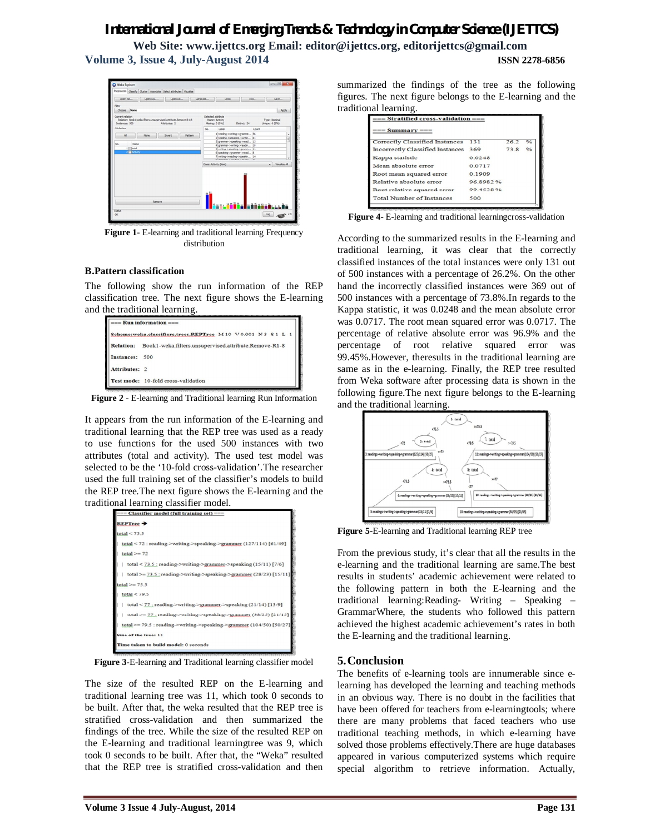# *International Journal of Emerging Trends & Technology in Computer Science (IJETTCS)*

**Web Site: www.ijettcs.org Email: editor@ijettcs.org, editorijettcs@gmail.com Volume 3, Issue 4, July-August 2014 ISSN 2278-6856**



**Figure 1**- E-learning and traditional learning Frequency distribution

#### **B.Pattern classification**

The following show the run information of the REP classification tree. The next figure shows the E-learning and the traditional learning.

| $==$ Run information $==$                                            |                                                       |  |  |  |  |  |
|----------------------------------------------------------------------|-------------------------------------------------------|--|--|--|--|--|
| Scheme:weka.classifiers.trees.REPTree -M 10 -V 0.001 -N 3 -S 1 -L -1 |                                                       |  |  |  |  |  |
| <b>Relation:</b>                                                     | Book1-weka.filters.unsupervised.attribute.Remove-R1-8 |  |  |  |  |  |
| Instances: 500                                                       |                                                       |  |  |  |  |  |
| Attributes: 2                                                        |                                                       |  |  |  |  |  |
|                                                                      | Test mode: 10-fold cross-validation                   |  |  |  |  |  |

**Figure 2** - E-learning and Traditional learning Run Information

It appears from the run information of the E-learning and traditional learning that the REP tree was used as a ready to use functions for the used 500 instances with two attributes (total and activity). The used test model was selected to be the '10-fold cross-validation'.The researcher used the full training set of the classifier's models to build the REP tree.The next figure shows the E-learning and the traditional learning classifier model.

| === Classifier model (full training set) ===                          |  |
|-----------------------------------------------------------------------|--|
| <b>REPTree →</b>                                                      |  |
| total < 75.5                                                          |  |
| total < 72 : reading->writing->speaking->grammer (127/114) [61/49]    |  |
| $total \ge 72$                                                        |  |
| total < $73.5$ ; reading->writing->grammer->speaking $(15/11)$ [7/6]  |  |
| total >= $73.5$ : reading->writing->speaking->grammer (28/23) [15/11] |  |
| $total \ge 75.5$                                                      |  |
| total $<$ 79.5                                                        |  |
| total $<$ 77 : reading->writing->grammer->speaking (21/14) [13/9]     |  |
| total >= $77$ ; reading->writing->speaking->grammer (38/25) [21/15]   |  |
| total >= 79.5 : reading->writing->speaking->grammer (104/50) [50/27]  |  |
| Size of the tree: 11                                                  |  |
| Time taken to build model: 0 seconds                                  |  |

**Figure 3-**E-learning and Traditional learning classifier model

The size of the resulted REP on the E-learning and traditional learning tree was 11, which took 0 seconds to be built. After that, the weka resulted that the REP tree is stratified cross-validation and then summarized the findings of the tree. While the size of the resulted REP on the E-learning and traditional learningtree was 9, which took 0 seconds to be built. After that, the "Weka" resulted that the REP tree is stratified cross-validation and then

summarized the findings of the tree as the following figures. The next figure belongs to the E-learning and the traditional learning.

| $==$ Summary $==$                       |           |      |                    |
|-----------------------------------------|-----------|------|--------------------|
| <b>Correctly Classified Instances</b>   | 131       | 26.2 | $\frac{0}{\alpha}$ |
| <b>Incorrectly Classified Instances</b> | 369       | 73.8 | $\frac{0}{\alpha}$ |
| Kappa statistic                         | 0.0248    |      |                    |
| Mean absolute error                     | 0.0717    |      |                    |
| Root mean squared error                 | 0.1909    |      |                    |
| Relative absolute error                 | 96.8982%  |      |                    |
| Root relative squared error             | 99.4538.% |      |                    |
| <b>Total Number of Instances</b>        | 500       |      |                    |

**Figure 4**- E-learning and traditional learningcross-validation

According to the summarized results in the E-learning and traditional learning, it was clear that the correctly classified instances of the total instances were only 131 out of 500 instances with a percentage of 26.2%. On the other hand the incorrectly classified instances were 369 out of 500 instances with a percentage of 73.8%.In regards to the Kappa statistic, it was 0.0248 and the mean absolute error was 0.0717. The root mean squared error was 0.0717. The percentage of relative absolute error was 96.9% and the percentage of root relative squared error was 99.45%.However, theresults in the traditional learning are same as in the e-learning. Finally, the REP tree resulted from Weka software after processing data is shown in the following figure.The next figure belongs to the E-learning and the traditional learning.



**Figure 5-**E-learning and Traditional learning REP tree

From the previous study, it's clear that all the results in the e-learning and the traditional learning are same.The best results in students' academic achievement were related to the following pattern in both the E-learning and the traditional learning:Reading- Writing – Speaking – GrammarWhere, the students who followed this pattern achieved the highest academic achievement's rates in both the E-learning and the traditional learning.

# **5.Conclusion**

The benefits of e-learning tools are innumerable since elearning has developed the learning and teaching methods in an obvious way. There is no doubt in the facilities that have been offered for teachers from e-learningtools; where there are many problems that faced teachers who use traditional teaching methods, in which e-learning have solved those problems effectively.There are huge databases appeared in various computerized systems which require special algorithm to retrieve information. Actually,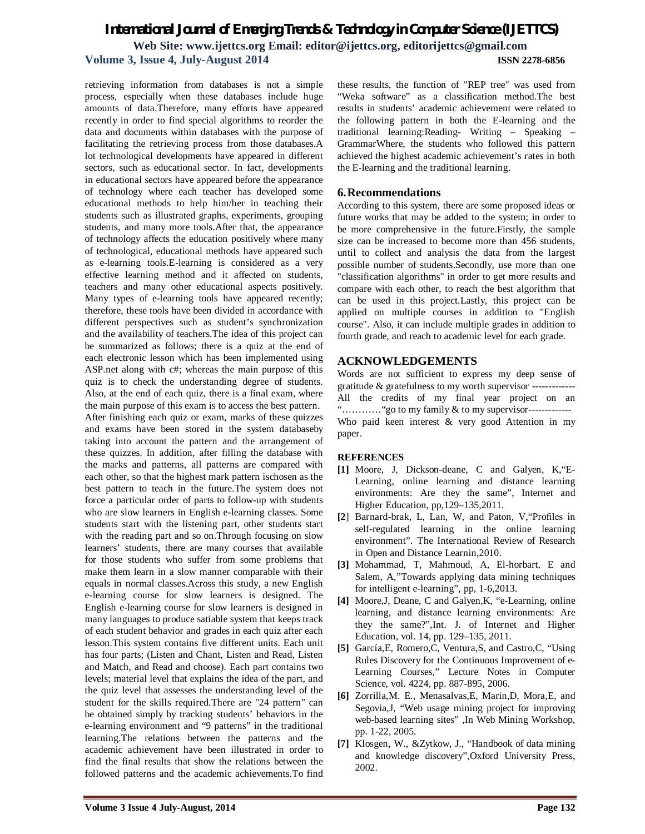# *International Journal of Emerging Trends & Technology in Computer Science (IJETTCS)* **Web Site: www.ijettcs.org Email: editor@ijettcs.org, editorijettcs@gmail.com Volume 3, Issue 4, July-August 2014 ISSN 2278-6856**

retrieving information from databases is not a simple process, especially when these databases include huge amounts of data.Therefore, many efforts have appeared recently in order to find special algorithms to reorder the data and documents within databases with the purpose of facilitating the retrieving process from those databases.A lot technological developments have appeared in different sectors, such as educational sector. In fact, developments in educational sectors have appeared before the appearance of technology where each teacher has developed some educational methods to help him/her in teaching their students such as illustrated graphs, experiments, grouping students, and many more tools.After that, the appearance of technology affects the education positively where many of technological, educational methods have appeared such as e-learning tools.E-learning is considered as a very effective learning method and it affected on students, teachers and many other educational aspects positively. Many types of e-learning tools have appeared recently; therefore, these tools have been divided in accordance with different perspectives such as student's synchronization and the availability of teachers.The idea of this project can be summarized as follows; there is a quiz at the end of each electronic lesson which has been implemented using ASP.net along with c#; whereas the main purpose of this quiz is to check the understanding degree of students. Also, at the end of each quiz, there is a final exam, where the main purpose of this exam is to access the best pattern. After finishing each quiz or exam, marks of these quizzes and exams have been stored in the system databaseby taking into account the pattern and the arrangement of these quizzes. In addition, after filling the database with the marks and patterns, all patterns are compared with each other, so that the highest mark pattern ischosen as the best pattern to teach in the future.The system does not force a particular order of parts to follow-up with students who are slow learners in English e-learning classes. Some students start with the listening part, other students start with the reading part and so on.Through focusing on slow learners' students, there are many courses that available for those students who suffer from some problems that make them learn in a slow manner comparable with their equals in normal classes.Across this study, a new English e-learning course for slow learners is designed. The English e-learning course for slow learners is designed in many languages to produce satiable system that keeps track of each student behavior and grades in each quiz after each lesson.This system contains five different units. Each unit has four parts; (Listen and Chant, Listen and Read, Listen and Match, and Read and choose). Each part contains two levels; material level that explains the idea of the part, and the quiz level that assesses the understanding level of the student for the skills required.There are "24 pattern" can be obtained simply by tracking students' behaviors in the e-learning environment and "9 patterns" in the traditional learning.The relations between the patterns and the academic achievement have been illustrated in order to find the final results that show the relations between the followed patterns and the academic achievements.To find

these results, the function of "REP tree" was used from "Weka software" as a classification method.The best results in students' academic achievement were related to the following pattern in both the E-learning and the traditional learning:Reading- Writing – Speaking – GrammarWhere, the students who followed this pattern achieved the highest academic achievement's rates in both the E-learning and the traditional learning.

#### **6.Recommendations**

According to this system, there are some proposed ideas or future works that may be added to the system; in order to be more comprehensive in the future.Firstly, the sample size can be increased to become more than 456 students, until to collect and analysis the data from the largest possible number of students.Secondly, use more than one "classification algorithms" in order to get more results and compare with each other, to reach the best algorithm that can be used in this project.Lastly, this project can be applied on multiple courses in addition to "English course". Also, it can include multiple grades in addition to fourth grade, and reach to academic level for each grade.

# **ACKNOWLEDGEMENTS**

Words are not sufficient to express my deep sense of gratitude & gratefulness to my worth supervisor ------------- All the credits of my final year project on an "…………"go to my family & to my supervisor------------- Who paid keen interest & very good Attention in my paper.

#### **REFERENCES**

- **[1]** Moore, J, Dickson-deane, C and Galyen, K,"E-Learning, online learning and distance learning environments: Are they the same", Internet and Higher Education, pp,129–135,2011.
- **[2**] Barnard-brak, L, Lan, W, and Paton, V,"Profiles in self-regulated learning in the online learning environment". The International Review of Research in Open and Distance Learnin,2010.
- **[3]** Mohammad, T, Mahmoud, A, El-horbart, E and Salem, A,"Towards applying data mining techniques for intelligent e-learning", pp, 1-6,2013.
- **[4]** Moore,J, Deane, C and Galyen,K, "e-Learning, online learning, and distance learning environments: Are they the same?",Int. J. of Internet and Higher Education, vol. 14, pp. 129–135, 2011.
- **[5]** García,E, Romero,C, Ventura,S, and Castro,C, "Using Rules Discovery for the Continuous Improvement of e-Learning Courses," Lecture Notes in Computer Science, vol. 4224, pp. 887-895, 2006.
- **[6]** Zorrilla,M. E., Menasalvas,E, Marin,D, Mora,E, and Segovia,J, "Web usage mining project for improving web-based learning sites" ,In Web Mining Workshop, pp. 1-22, 2005.
- **[7]** Klosgen, W., &Zytkow, J., "Handbook of data mining and knowledge discovery",Oxford University Press, 2002.